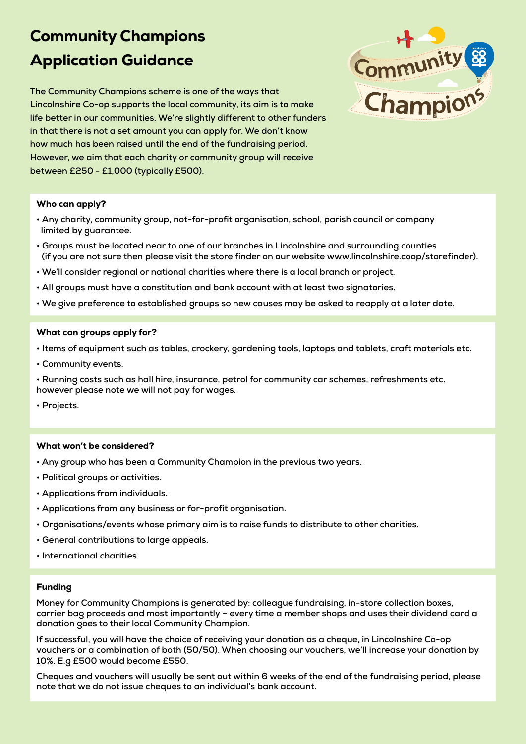## Community Champions Application Guidance

**The Community Champions scheme is one of the ways that Lincolnshire Co-op supports the local community, its aim is to make life better in our communities. We're slightly different to other funders in that there is not a set amount you can apply for. We don't know how much has been raised until the end of the fundraising period. However, we aim that each charity or community group will receive between £250 - £1,000 (typically £500).**



#### Who can apply?

- **Any charity, community group, not-for-profit organisation, school, parish council or company limited by guarantee.**
- **Groups must be located near to one of our branches in Lincolnshire and surrounding counties (if you are not sure then please visit the store finder on our website www.lincolnshire.coop/storefinder).**
- **We'll consider regional or national charities where there is a local branch or project.**
- **All groups must have a constitution and bank account with at least two signatories.**
- **We give preference to established groups so new causes may be asked to reapply at a later date.**

#### What can groups apply for?

- **Items of equipment such as tables, crockery, gardening tools, laptops and tablets, craft materials etc.**
- **Community events.**
- **Running costs such as hall hire, insurance, petrol for community car schemes, refreshments etc. however please note we will not pay for wages.**
- **Projects.**

#### What won't be considered?

- **Any group who has been a Community Champion in the previous two years.**
- **Political groups or activities.**
- **Applications from individuals.**
- **Applications from any business or for-profit organisation.**
- **Organisations/events whose primary aim is to raise funds to distribute to other charities.**
- **General contributions to large appeals.**
- **International charities.**

#### Funding

**Money for Community Champions is generated by: colleague fundraising, in-store collection boxes, carrier bag proceeds and most importantly – every time a member shops and uses their dividend card a donation goes to their local Community Champion.** 

**If successful, you will have the choice of receiving your donation as a cheque, in Lincolnshire Co-op vouchers or a combination of both (50/50). When choosing our vouchers, we'll increase your donation by 10%. E.g £500 would become £550.**

**Cheques and vouchers will usually be sent out within 6 weeks of the end of the fundraising period, please note that we do not issue cheques to an individual's bank account.**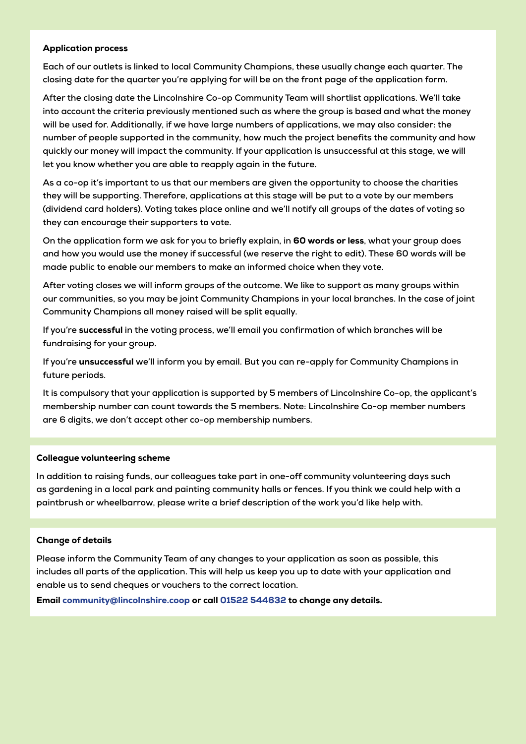#### Application process

**Each of our outlets is linked to local Community Champions, these usually change each quarter. The closing date for the quarter you're applying for will be on the front page of the application form.**

**After the closing date the Lincolnshire Co-op Community Team will shortlist applications. We'll take into account the criteria previously mentioned such as where the group is based and what the money will be used for. Additionally, if we have large numbers of applications, we may also consider: the number of people supported in the community, how much the project benefits the community and how quickly our money will impact the community. If your application is unsuccessful at this stage, we will let you know whether you are able to reapply again in the future.**

**As a co-op it's important to us that our members are given the opportunity to choose the charities they will be supporting. Therefore, applications at this stage will be put to a vote by our members (dividend card holders). Voting takes place online and we'll notify all groups of the dates of voting so they can encourage their supporters to vote.**

**On the application form we ask for you to briefly explain, in** 60 words or less**, what your group does and how you would use the money if successful (we reserve the right to edit). These 60 words will be made public to enable our members to make an informed choice when they vote.**

**After voting closes we will inform groups of the outcome. We like to support as many groups within our communities, so you may be joint Community Champions in your local branches. In the case of joint Community Champions all money raised will be split equally.** 

**If you're** successful **in the voting process, we'll email you confirmation of which branches will be fundraising for your group.** 

**If you're** unsuccessful **we'll inform you by email. But you can re-apply for Community Champions in future periods.**

**It is compulsory that your application is supported by 5 members of Lincolnshire Co-op, the applicant's membership number can count towards the 5 members. Note: Lincolnshire Co-op member numbers are 6 digits, we don't accept other co-op membership numbers.** 

#### Colleague volunteering scheme

**In addition to raising funds, our colleagues take part in one-off community volunteering days such as gardening in a local park and painting community halls or fences. If you think we could help with a paintbrush or wheelbarrow, please write a brief description of the work you'd like help with.** 

#### Change of details

**Please inform the Community Team of any changes to your application as soon as possible, this includes all parts of the application. This will help us keep you up to date with your application and enable us to send cheques or vouchers to the correct location.** 

Email community@lincolnshire.coop or call 01522 544632 to change any details.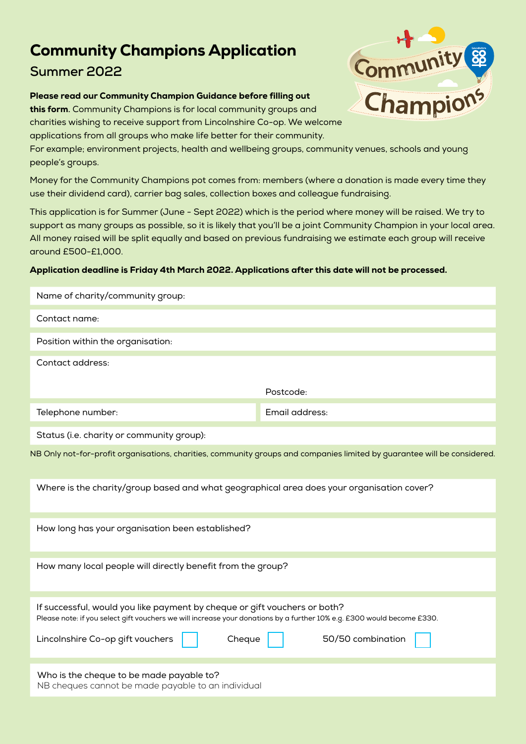### Community Champions Application **Summer 2022**

#### Please read our Community Champion Guidance before filling out

this form**.** Community Champions is for local community groups and charities wishing to receive support from Lincolnshire Co-op. We welcome applications from all groups who make life better for their community.

For example; environment projects, health and wellbeing groups, community venues, schools and young people's groups.

Money for the Community Champions pot comes from: members (where a donation is made every time they use their dividend card), carrier bag sales, collection boxes and colleague fundraising.

This application is for Summer (June - Sept 2022) which is the period where money will be raised. We try to support as many groups as possible, so it is likely that you'll be a joint Community Champion in your local area. All money raised will be split equally and based on previous fundraising we estimate each group will receive around £500-£1,000.

#### Application deadline is Friday 4th March 2022. Applications after this date will not be processed.

| Name of charity/community group:                                                                                                                                                                                                                                       |  |  |
|------------------------------------------------------------------------------------------------------------------------------------------------------------------------------------------------------------------------------------------------------------------------|--|--|
| Contact name:                                                                                                                                                                                                                                                          |  |  |
| Position within the organisation:                                                                                                                                                                                                                                      |  |  |
| Contact address:                                                                                                                                                                                                                                                       |  |  |
| Postcode:                                                                                                                                                                                                                                                              |  |  |
| Email address:<br>Telephone number:                                                                                                                                                                                                                                    |  |  |
| Status (i.e. charity or community group):                                                                                                                                                                                                                              |  |  |
| NB Only not-for-profit organisations, charities, community groups and companies limited by guarantee will be considered.                                                                                                                                               |  |  |
| Where is the charity/group based and what geographical area does your organisation cover?                                                                                                                                                                              |  |  |
| How long has your organisation been established?                                                                                                                                                                                                                       |  |  |
| How many local people will directly benefit from the group?                                                                                                                                                                                                            |  |  |
| If successful, would you like payment by cheque or gift vouchers or both?<br>Please note: if you select gift vouchers we will increase your donations by a further 10% e.g. £300 would become £330.<br>Cheque<br>50/50 combination<br>Lincolnshire Co-op gift vouchers |  |  |
| Who is the cheque to be made payable to?<br>NB cheques cannot be made payable to an individual                                                                                                                                                                         |  |  |